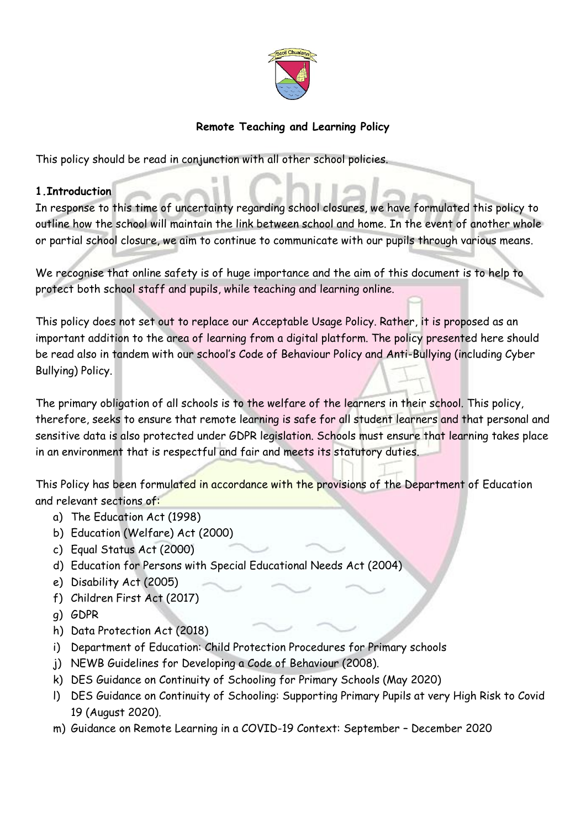

## **Remote Teaching and Learning Policy**

This policy should be read in conjunction with all other school policies.

#### **1.Introduction**

In response to this time of uncertainty regarding school closures, we have formulated this policy to outline how the school will maintain the link between school and home. In the event of another whole or partial school closure, we aim to continue to communicate with our pupils through various means.

We recognise that online safety is of huge importance and the aim of this document is to help to protect both school staff and pupils, while teaching and learning online.

This policy does not set out to replace our Acceptable Usage Policy. Rather, it is proposed as an important addition to the area of learning from a digital platform. The policy presented here should be read also in tandem with our school's Code of Behaviour Policy and Anti-Bullying (including Cyber Bullying) Policy.

The primary obligation of all schools is to the welfare of the learners in their school. This policy, therefore, seeks to ensure that remote learning is safe for all student learners and that personal and sensitive data is also protected under GDPR legislation. Schools must ensure that learning takes place in an environment that is respectful and fair and meets its statutory duties.

This Policy has been formulated in accordance with the provisions of the Department of Education and relevant sections of:

- a) The Education Act (1998)
- b) Education (Welfare) Act (2000)
- c) Equal Status Act (2000)
- d) Education for Persons with Special Educational Needs Act (2004)
- e) Disability Act (2005)
- f) Children First Act (2017)
- g) GDPR
- h) Data Protection Act (2018)
- i) Department of Education: Child Protection Procedures for Primary schools
- j) NEWB Guidelines for Developing a Code of Behaviour (2008).
- k) DES Guidance on Continuity of Schooling for Primary Schools (May 2020)
- l) DES Guidance on Continuity of Schooling: Supporting Primary Pupils at very High Risk to Covid 19 (August 2020).
- m) Guidance on Remote Learning in a COVID-19 Context: September December 2020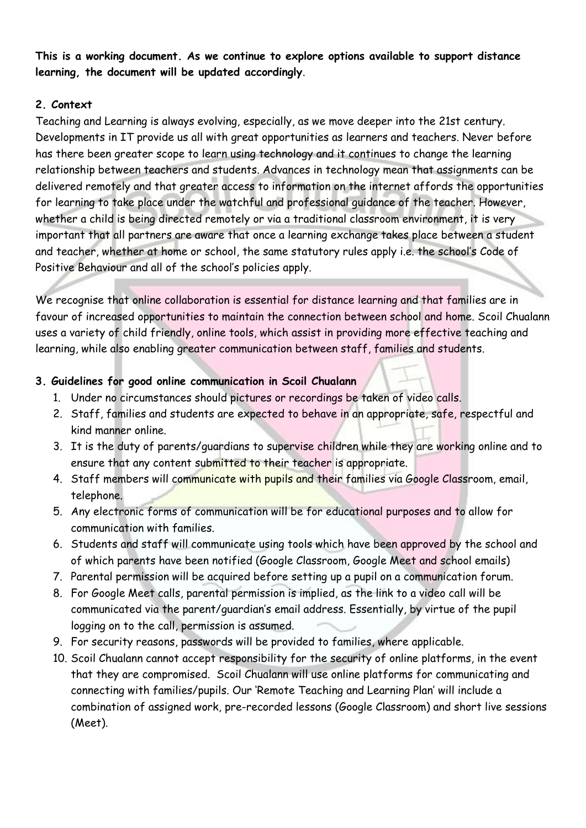**This is a working document. As we continue to explore options available to support distance learning, the document will be updated accordingly**.

## **2. Context**

Teaching and Learning is always evolving, especially, as we move deeper into the 21st century. Developments in IT provide us all with great opportunities as learners and teachers. Never before has there been greater scope to learn using technology and it continues to change the learning relationship between teachers and students. Advances in technology mean that assignments can be delivered remotely and that greater access to information on the internet affords the opportunities for learning to take place under the watchful and professional guidance of the teacher. However, whether a child is being directed remotely or via a traditional classroom environment, it is very important that all partners are aware that once a learning exchange takes place between a student and teacher, whether at home or school, the same statutory rules apply i.e. the school's Code of Positive Behaviour and all of the school's policies apply.

We recognise that online collaboration is essential for distance learning and that families are in favour of increased opportunities to maintain the connection between school and home. Scoil Chualann uses a variety of child friendly, online tools, which assist in providing more effective teaching and learning, while also enabling greater communication between staff, families and students.

## **3. Guidelines for good online communication in Scoil Chualann**

- 1. Under no circumstances should pictures or recordings be taken of video calls.
- 2. Staff, families and students are expected to behave in an appropriate, safe, respectful and kind manner online.
- 3. It is the duty of parents/guardians to supervise children while they are working online and to ensure that any content submitted to their teacher is appropriate.
- 4. Staff members will communicate with pupils and their families via Google Classroom, email, telephone.
- 5. Any electronic forms of communication will be for educational purposes and to allow for communication with families.
- 6. Students and staff will communicate using tools which have been approved by the school and of which parents have been notified (Google Classroom, Google Meet and school emails)
- 7. Parental permission will be acquired before setting up a pupil on a communication forum.
- 8. For Google Meet calls, parental permission is implied, as the link to a video call will be communicated via the parent/guardian's email address. Essentially, by virtue of the pupil logging on to the call, permission is assumed.
- 9. For security reasons, passwords will be provided to families, where applicable.
- 10. Scoil Chualann cannot accept responsibility for the security of online platforms, in the event that they are compromised. Scoil Chualann will use online platforms for communicating and connecting with families/pupils. Our 'Remote Teaching and Learning Plan' will include a combination of assigned work, pre-recorded lessons (Google Classroom) and short live sessions (Meet).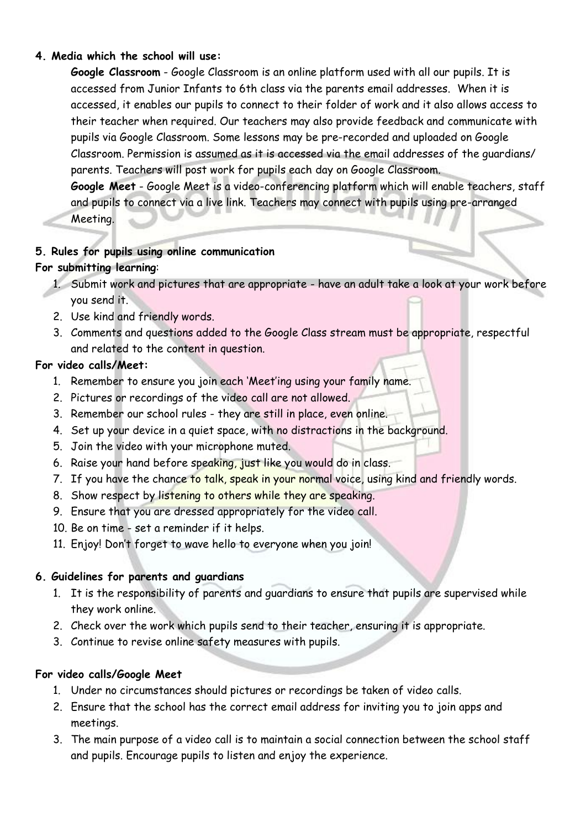#### **4. Media which the school will use:**

**Google Classroom** - Google Classroom is an online platform used with all our pupils. It is accessed from Junior Infants to 6th class via the parents email addresses. When it is accessed, it enables our pupils to connect to their folder of work and it also allows access to their teacher when required. Our teachers may also provide feedback and communicate with pupils via Google Classroom. Some lessons may be pre-recorded and uploaded on Google Classroom. Permission is assumed as it is accessed via the email addresses of the guardians/ parents. Teachers will post work for pupils each day on Google Classroom.

**Google Meet** - Google Meet is a video-conferencing platform which will enable teachers, staff and pupils to connect via a live link. Teachers may connect with pupils using pre-arranged

Meeting.

### **5. Rules for pupils using online communication**

#### **For submitting learning**:

- 1. Submit work and pictures that are appropriate have an adult take a look at your work before you send it.
- 2. Use kind and friendly words.
- 3. Comments and questions added to the Google Class stream must be appropriate, respectful and related to the content in question.

#### **For video calls/Meet:**

- 1. Remember to ensure you join each 'Meet'ing using your family name.
- 2. Pictures or recordings of the video call are not allowed.
- 3. Remember our school rules they are still in place, even online.
- 4. Set up your device in a quiet space, with no distractions in the background.
- 5. Join the video with your microphone muted.
- 6. Raise your hand before speaking, just like you would do in class.
- 7. If you have the chance to talk, speak in your normal voice, using kind and friendly words.
- 8. Show respect by listening to others while they are speaking.
- 9. Ensure that you are dressed appropriately for the video call.
- 10. Be on time set a reminder if it helps.
- 11. Enjoy! Don't forget to wave hello to everyone when you join!

### **6. Guidelines for parents and guardians**

- 1. It is the responsibility of parents and guardians to ensure that pupils are supervised while they work online.
- 2. Check over the work which pupils send to their teacher, ensuring it is appropriate.
- 3. Continue to revise online safety measures with pupils.

#### **For video calls/Google Meet**

- 1. Under no circumstances should pictures or recordings be taken of video calls.
- 2. Ensure that the school has the correct email address for inviting you to join apps and meetings.
- 3. The main purpose of a video call is to maintain a social connection between the school staff and pupils. Encourage pupils to listen and enjoy the experience.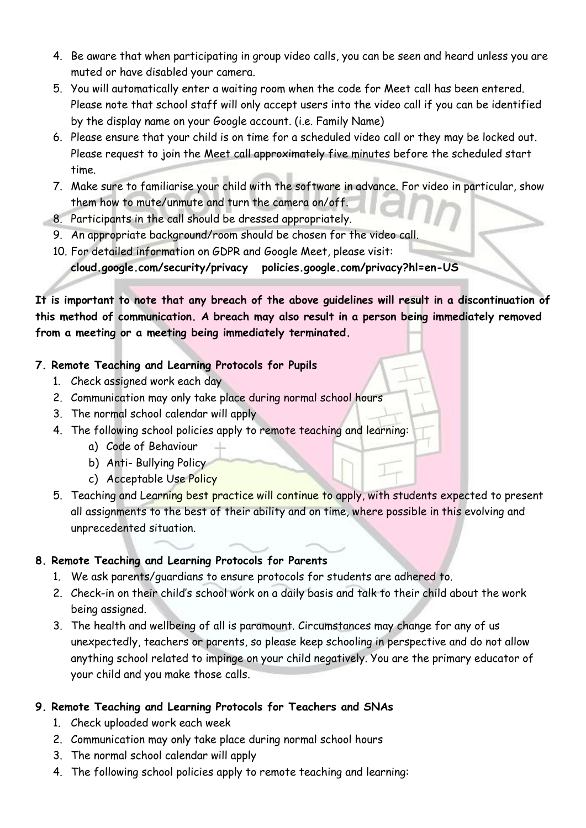- 4. Be aware that when participating in group video calls, you can be seen and heard unless you are muted or have disabled your camera.
- 5. You will automatically enter a waiting room when the code for Meet call has been entered. Please note that school staff will only accept users into the video call if you can be identified by the display name on your Google account. (i.e. Family Name)
- 6. Please ensure that your child is on time for a scheduled video call or they may be locked out. Please request to join the Meet call approximately five minutes before the scheduled start time.
- 7. Make sure to familiarise your child with the software in advance. For video in particular, show them how to mute/unmute and turn the camera on/off.
- 8. Participants in the call should be dressed appropriately.
- 9. An appropriate background/room should be chosen for the video call.
- 10. For detailed information on GDPR and Google Meet, please visit: **cloud.google.com/security/privacy policies.google.com/privacy?hl=en-US**

**It is important to note that any breach of the above guidelines will result in a discontinuation of this method of communication. A breach may also result in a person being immediately removed from a meeting or a meeting being immediately terminated.**

## **7. Remote Teaching and Learning Protocols for Pupils**

- 1. Check assigned work each day
- 2. Communication may only take place during normal school hours
- 3. The normal school calendar will apply
- 4. The following school policies apply to remote teaching and learning:
	- a) Code of Behaviour
	- b) Anti- Bullying Policy
	- c) Acceptable Use Policy
- 5. Teaching and Learning best practice will continue to apply, with students expected to present all assignments to the best of their ability and on time, where possible in this evolving and unprecedented situation.

## **8. Remote Teaching and Learning Protocols for Parents**

- 1. We ask parents/guardians to ensure protocols for students are adhered to.
- 2. Check-in on their child's school work on a daily basis and talk to their child about the work being assigned.
- 3. The health and wellbeing of all is paramount. Circumstances may change for any of us unexpectedly, teachers or parents, so please keep schooling in perspective and do not allow anything school related to impinge on your child negatively. You are the primary educator of your child and you make those calls.

## **9. Remote Teaching and Learning Protocols for Teachers and SNAs**

- 1. Check uploaded work each week
- 2. Communication may only take place during normal school hours
- 3. The normal school calendar will apply
- 4. The following school policies apply to remote teaching and learning: